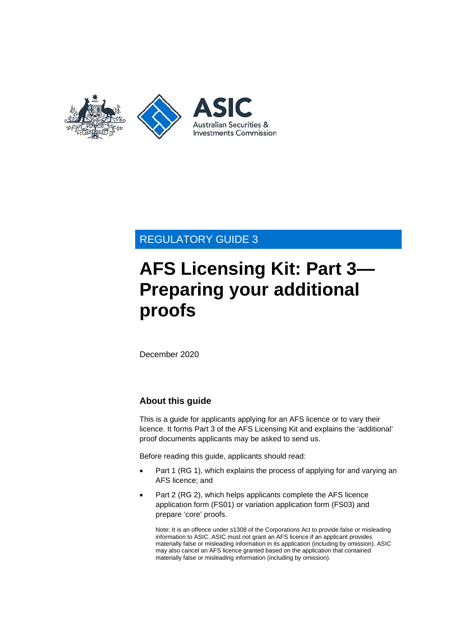

# REGULATORY GUIDE 3

# **AFS Licensing Kit: Part 3— Preparing your additional proofs**

December 2020

### **About this guide**

This is a guide for applicants applying for an AFS licence or to vary their licence. It forms Part 3 of the AFS Licensing Kit and explains the 'additional' proof documents applicants may be asked to send us.

Before reading this guide, applicants should read:

- Part 1 (RG 1), which explains the process of applying for and varying an AFS licence; and
- Part 2 (RG 2), which helps applicants complete the AFS licence application form (FS01) or variation application form (FS03) and prepare 'core' proofs.

Note: It is an offence under s1308 of the Corporations Act to provide false or misleading information to ASIC. ASIC must not grant an AFS licence if an applicant provides materially false or misleading information in its application (including by omission). ASIC may also cancel an AFS licence granted based on the application that contained materially false or misleading information (including by omission).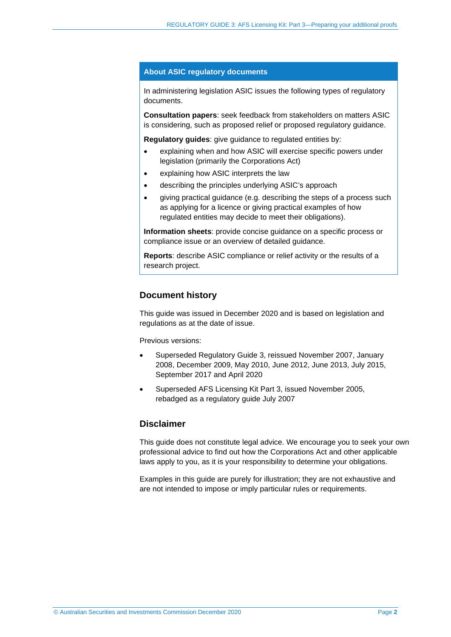#### **About ASIC regulatory documents**

In administering legislation ASIC issues the following types of regulatory documents.

**Consultation papers**: seek feedback from stakeholders on matters ASIC is considering, such as proposed relief or proposed regulatory guidance.

**Regulatory guides**: give guidance to regulated entities by:

- explaining when and how ASIC will exercise specific powers under legislation (primarily the Corporations Act)
- explaining how ASIC interprets the law
- describing the principles underlying ASIC's approach
- giving practical guidance (e.g. describing the steps of a process such as applying for a licence or giving practical examples of how regulated entities may decide to meet their obligations).

**Information sheets**: provide concise guidance on a specific process or compliance issue or an overview of detailed guidance.

**Reports**: describe ASIC compliance or relief activity or the results of a research project.

#### **Document history**

This guide was issued in December 2020 and is based on legislation and regulations as at the date of issue.

Previous versions:

- Superseded Regulatory Guide 3, reissued November 2007, January 2008, December 2009, May 2010, June 2012, June 2013, July 2015, September 2017 and April 2020
- Superseded AFS Licensing Kit Part 3, issued November 2005, rebadged as a regulatory guide July 2007

#### **Disclaimer**

This guide does not constitute legal advice. We encourage you to seek your own professional advice to find out how the Corporations Act and other applicable laws apply to you, as it is your responsibility to determine your obligations.

Examples in this guide are purely for illustration; they are not exhaustive and are not intended to impose or imply particular rules or requirements.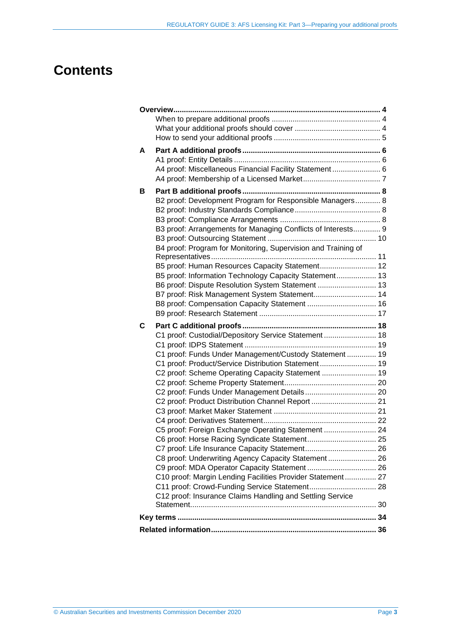# **Contents**

| A |                                                               |  |
|---|---------------------------------------------------------------|--|
|   |                                                               |  |
|   | A4 proof: Miscellaneous Financial Facility Statement 6        |  |
|   |                                                               |  |
|   |                                                               |  |
| В | B2 proof: Development Program for Responsible Managers 8      |  |
|   |                                                               |  |
|   |                                                               |  |
|   |                                                               |  |
|   | B3 proof: Arrangements for Managing Conflicts of Interests 9  |  |
|   |                                                               |  |
|   | B4 proof: Program for Monitoring, Supervision and Training of |  |
|   | B5 proof: Human Resources Capacity Statement 12               |  |
|   | B5 proof: Information Technology Capacity Statement 13        |  |
|   | B6 proof: Dispute Resolution System Statement  13             |  |
|   | B7 proof: Risk Management System Statement 14                 |  |
|   | B8 proof: Compensation Capacity Statement  16                 |  |
|   |                                                               |  |
|   |                                                               |  |
| C |                                                               |  |
|   | C1 proof: Custodial/Depository Service Statement  18          |  |
|   |                                                               |  |
|   | C1 proof: Funds Under Management/Custody Statement  19        |  |
|   |                                                               |  |
|   | C1 proof: Product/Service Distribution Statement 19           |  |
|   | C2 proof: Scheme Operating Capacity Statement  19             |  |
|   |                                                               |  |
|   |                                                               |  |
|   | C2 proof: Product Distribution Channel Report  21             |  |
|   |                                                               |  |
|   |                                                               |  |
|   | C5 proof: Foreign Exchange Operating Statement  24            |  |
|   |                                                               |  |
|   |                                                               |  |
|   | C8 proof: Underwriting Agency Capacity Statement  26          |  |
|   |                                                               |  |
|   | C10 proof: Margin Lending Facilities Provider Statement 27    |  |
|   |                                                               |  |
|   | C12 proof: Insurance Claims Handling and Settling Service     |  |
|   |                                                               |  |
|   |                                                               |  |
|   |                                                               |  |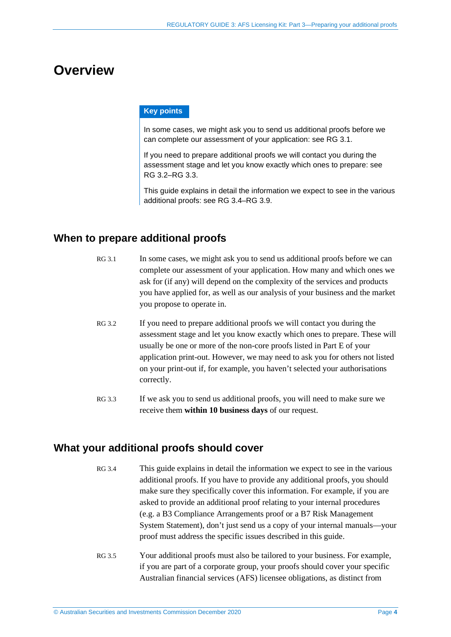# <span id="page-3-0"></span>**Overview**

#### **Key points**

In some cases, we might ask you to send us additional proofs before we can complete our assessment of your application: see [RG](#page-3-3) 3.1.

If you need to prepare additional proofs we will contact you during the assessment stage and let you know exactly which ones to prepare: see RG [3.2–](#page-3-4)[RG](#page-3-5) 3.3.

This guide explains in detail the information we expect to see in the various additional proofs: see [RG](#page-3-6) 3.4[–RG](#page-4-1) 3.9.

# <span id="page-3-3"></span><span id="page-3-1"></span>**When to prepare additional proofs**

- RG 3.1 In some cases, we might ask you to send us additional proofs before we can complete our assessment of your application. How many and which ones we ask for (if any) will depend on the complexity of the services and products you have applied for, as well as our analysis of your business and the market you propose to operate in.
- <span id="page-3-4"></span>RG 3.2 If you need to prepare additional proofs we will contact you during the assessment stage and let you know exactly which ones to prepare. These will usually be one or more of the non-core proofs listed in Part E of your application print-out. However, we may need to ask you for others not listed on your print-out if, for example, you haven't selected your authorisations correctly.
- <span id="page-3-5"></span>RG 3.3 If we ask you to send us additional proofs, you will need to make sure we receive them **within 10 business days** of our request.

## <span id="page-3-6"></span><span id="page-3-2"></span>**What your additional proofs should cover**

- RG 3.4 This guide explains in detail the information we expect to see in the various additional proofs. If you have to provide any additional proofs, you should make sure they specifically cover this information. For example, if you are asked to provide an additional proof relating to your internal procedures (e.g. a B3 Compliance Arrangements proof or a B7 Risk Management System Statement), don't just send us a copy of your internal manuals—your proof must address the specific issues described in this guide.
- RG 3.5 Your additional proofs must also be tailored to your business. For example, if you are part of a corporate group, your proofs should cover your specific Australian financial services (AFS) licensee obligations, as distinct from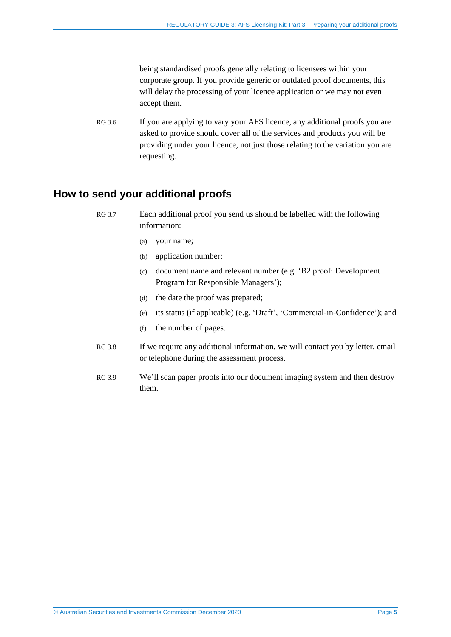being standardised proofs generally relating to licensees within your corporate group. If you provide generic or outdated proof documents, this will delay the processing of your licence application or we may not even accept them.

RG 3.6 If you are applying to vary your AFS licence, any additional proofs you are asked to provide should cover **all** of the services and products you will be providing under your licence, not just those relating to the variation you are requesting.

### <span id="page-4-0"></span>**How to send your additional proofs**

- <span id="page-4-1"></span>RG 3.7 Each additional proof you send us should be labelled with the following information:
	- (a) your name;
	- (b) application number;
	- (c) document name and relevant number (e.g. 'B2 proof: Development Program for Responsible Managers');
	- (d) the date the proof was prepared;
	- (e) its status (if applicable) (e.g. 'Draft', 'Commercial-in-Confidence'); and
	- (f) the number of pages.
	- RG 3.8 If we require any additional information, we will contact you by letter, email or telephone during the assessment process.
	- RG 3.9 We'll scan paper proofs into our document imaging system and then destroy them.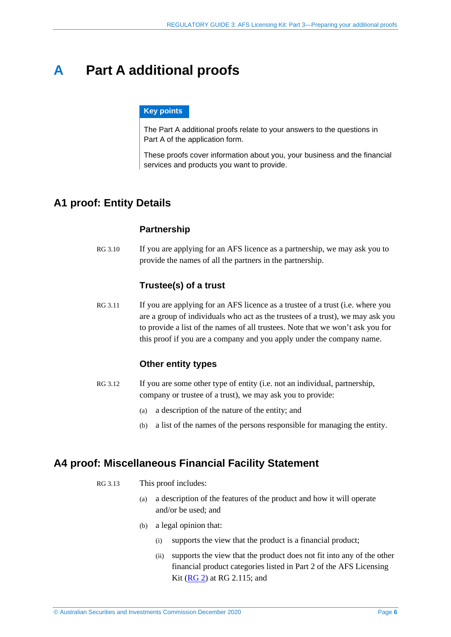# <span id="page-5-0"></span>**A Part A additional proofs**

#### **Key points**

The Part A additional proofs relate to your answers to the questions in Part A of the application form.

These proofs cover information about you, your business and the financial services and products you want to provide.

# <span id="page-5-1"></span>**A1 proof: Entity Details**

### **Partnership**

RG 3.10 If you are applying for an AFS licence as a partnership, we may ask you to provide the names of all the partners in the partnership.

#### **Trustee(s) of a trust**

RG 3.11 If you are applying for an AFS licence as a trustee of a trust (i.e. where you are a group of individuals who act as the trustees of a trust), we may ask you to provide a list of the names of all trustees. Note that we won't ask you for this proof if you are a company and you apply under the company name.

#### **Other entity types**

- RG 3.12 If you are some other type of entity (i.e. not an individual, partnership, company or trustee of a trust), we may ask you to provide:
	- (a) a description of the nature of the entity; and
	- (b) a list of the names of the persons responsible for managing the entity.

### <span id="page-5-2"></span>**A4 proof: Miscellaneous Financial Facility Statement**

- RG 3.13 This proof includes:
	- (a) a description of the features of the product and how it will operate and/or be used; and
	- (b) a legal opinion that:
		- (i) supports the view that the product is a financial product;
		- (ii) supports the view that the product does not fit into any of the other financial product categories listed in Part 2 of the AFS Licensing Kit [\(RG 2\)](https://asic.gov.au/regulatory-resources/find-a-document/regulatory-guides/rg-2-afs-licensing-kit-part-2-preparing-your-afs-licence-application/) at RG 2.115; and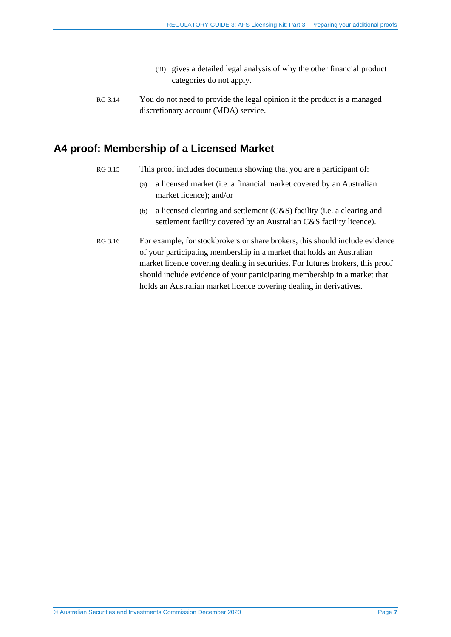- (iii) gives a detailed legal analysis of why the other financial product categories do not apply.
- RG 3.14 You do not need to provide the legal opinion if the product is a managed discretionary account (MDA) service.

## <span id="page-6-0"></span>**A4 proof: Membership of a Licensed Market**

- RG 3.15 This proof includes documents showing that you are a participant of:
	- (a) a licensed market (i.e. a financial market covered by an Australian market licence); and/or
	- (b) a licensed clearing and settlement (C&S) facility (i.e. a clearing and settlement facility covered by an Australian C&S facility licence).
- RG 3.16 For example, for stockbrokers or share brokers, this should include evidence of your participating membership in a market that holds an Australian market licence covering dealing in securities. For futures brokers, this proof should include evidence of your participating membership in a market that holds an Australian market licence covering dealing in derivatives.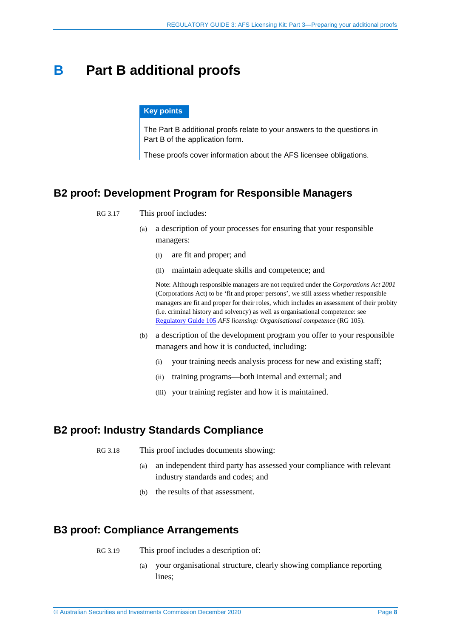# <span id="page-7-0"></span>**B Part B additional proofs**

#### **Key points**

The Part B additional proofs relate to your answers to the questions in Part B of the application form.

These proofs cover information about the AFS licensee obligations.

### <span id="page-7-1"></span>**B2 proof: Development Program for Responsible Managers**

#### RG 3.17 This proof includes:

- (a) a description of your processes for ensuring that your responsible managers:
	- (i) are fit and proper; and
	- (ii) maintain adequate skills and competence; and

Note: Although responsible managers are not required under the *Corporations Act 2001*  (Corporations Act) to be 'fit and proper persons', we still assess whether responsible managers are fit and proper for their roles, which includes an assessment of their probity (i.e. criminal history and solvency) as well as organisational competence: see [Regulatory Guide](https://asic.gov.au/regulatory-resources/find-a-document/regulatory-guides/rg-105-afs-licensing-organisational-competence/) 105 *AFS licensing: Organisational competence* (RG 105).

- (b) a description of the development program you offer to your responsible managers and how it is conducted, including:
	- (i) your training needs analysis process for new and existing staff;
	- (ii) training programs—both internal and external; and
	- (iii) your training register and how it is maintained.

### <span id="page-7-2"></span>**B2 proof: Industry Standards Compliance**

RG 3.18 This proof includes documents showing:

- (a) an independent third party has assessed your compliance with relevant industry standards and codes; and
- (b) the results of that assessment.

## <span id="page-7-3"></span>**B3 proof: Compliance Arrangements**

- RG 3.19 This proof includes a description of:
	- (a) your organisational structure, clearly showing compliance reporting lines;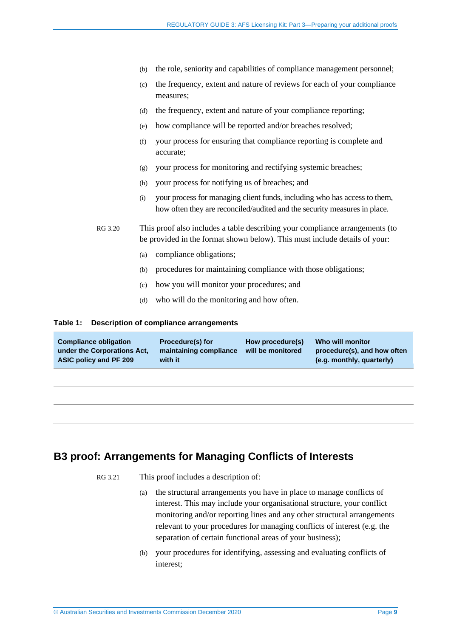- (b) the role, seniority and capabilities of compliance management personnel;
- (c) the frequency, extent and nature of reviews for each of your compliance measures;
- (d) the frequency, extent and nature of your compliance reporting;
- (e) how compliance will be reported and/or breaches resolved;
- (f) your process for ensuring that compliance reporting is complete and accurate;
- (g) your process for monitoring and rectifying systemic breaches;
- (h) your process for notifying us of breaches; and
- (i) your process for managing client funds, including who has access to them, how often they are reconciled/audited and the security measures in place.

RG 3.20 This proof also includes a table describing your compliance arrangements (to be provided in the format shown below). This must include details of your:

- (a) compliance obligations;
- (b) procedures for maintaining compliance with those obligations;
- (c) how you will monitor your procedures; and
- (d) who will do the monitoring and how often.

#### **Table 1: Description of compliance arrangements**

| <b>Compliance obligation</b><br>under the Corporations Act.<br>ASIC policy and PF 209 | <b>Procedure(s) for</b><br>maintaining compliance<br>with it | How procedure(s)<br>will be monitored | Who will monitor<br>procedure(s), and how often<br>(e.g. monthly, quarterly) |
|---------------------------------------------------------------------------------------|--------------------------------------------------------------|---------------------------------------|------------------------------------------------------------------------------|
|                                                                                       |                                                              |                                       |                                                                              |

### <span id="page-8-0"></span>**B3 proof: Arrangements for Managing Conflicts of Interests**

RG 3.21 This proof includes a description of:

- (a) the structural arrangements you have in place to manage conflicts of interest. This may include your organisational structure, your conflict monitoring and/or reporting lines and any other structural arrangements relevant to your procedures for managing conflicts of interest (e.g. the separation of certain functional areas of your business);
- (b) your procedures for identifying, assessing and evaluating conflicts of interest;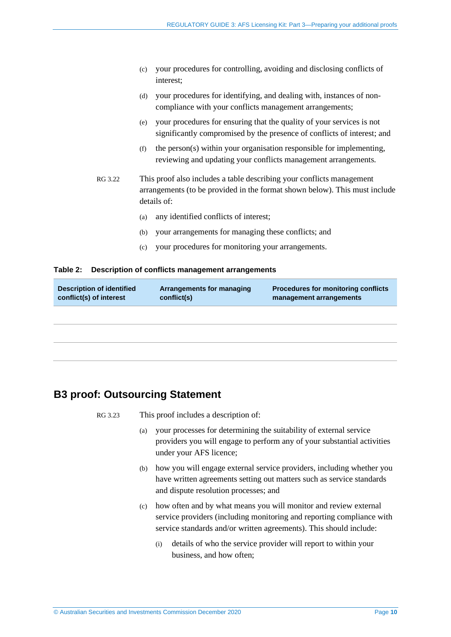- (c) your procedures for controlling, avoiding and disclosing conflicts of interest;
- (d) your procedures for identifying, and dealing with, instances of noncompliance with your conflicts management arrangements;
- (e) your procedures for ensuring that the quality of your services is not significantly compromised by the presence of conflicts of interest; and
- (f) the person(s) within your organisation responsible for implementing, reviewing and updating your conflicts management arrangements.
- RG 3.22 This proof also includes a table describing your conflicts management arrangements (to be provided in the format shown below). This must include details of:
	- (a) any identified conflicts of interest;
	- (b) your arrangements for managing these conflicts; and
	- (c) your procedures for monitoring your arrangements.

#### **Table 2: Description of conflicts management arrangements**

| <b>Description of identified</b><br>conflict(s) of interest | <b>Arrangements for managing</b><br>conflict(s) | <b>Procedures for monitoring conflicts</b><br>management arrangements |
|-------------------------------------------------------------|-------------------------------------------------|-----------------------------------------------------------------------|
|                                                             |                                                 |                                                                       |
|                                                             |                                                 |                                                                       |
|                                                             |                                                 |                                                                       |

## <span id="page-9-0"></span>**B3 proof: Outsourcing Statement**

RG 3.23 This proof includes a description of:

- (a) your processes for determining the suitability of external service providers you will engage to perform any of your substantial activities under your AFS licence;
- (b) how you will engage external service providers, including whether you have written agreements setting out matters such as service standards and dispute resolution processes; and
- (c) how often and by what means you will monitor and review external service providers (including monitoring and reporting compliance with service standards and/or written agreements). This should include:
	- (i) details of who the service provider will report to within your business, and how often;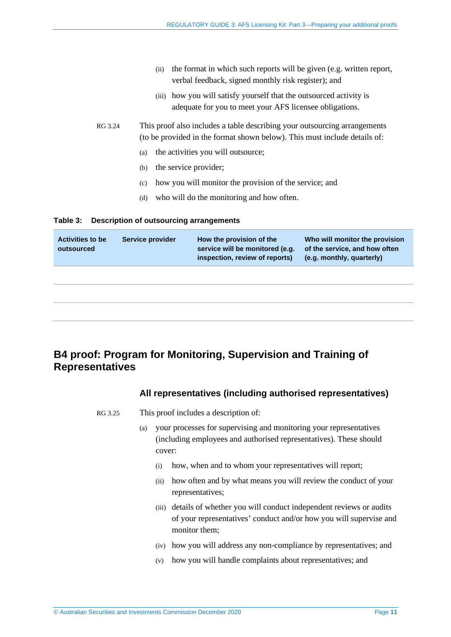- (ii) the format in which such reports will be given (e.g. written report, verbal feedback, signed monthly risk register); and
- (iii) how you will satisfy yourself that the outsourced activity is adequate for you to meet your AFS licensee obligations.
- RG 3.24 This proof also includes a table describing your outsourcing arrangements (to be provided in the format shown below). This must include details of:
	- (a) the activities you will outsource;
	- (b) the service provider;
	- (c) how you will monitor the provision of the service; and
	- (d) who will do the monitoring and how often.

#### **Table 3: Description of outsourcing arrangements**

| <b>Activities to be</b><br>outsourced | Service provider | How the provision of the<br>service will be monitored (e.g.<br>inspection, review of reports) | Who will monitor the provision<br>of the service, and how often<br>(e.g. monthly, quarterly) |
|---------------------------------------|------------------|-----------------------------------------------------------------------------------------------|----------------------------------------------------------------------------------------------|
|                                       |                  |                                                                                               |                                                                                              |
|                                       |                  |                                                                                               |                                                                                              |
|                                       |                  |                                                                                               |                                                                                              |

# <span id="page-10-0"></span>**B4 proof: Program for Monitoring, Supervision and Training of Representatives**

### **All representatives (including authorised representatives)**

- RG 3.25 This proof includes a description of:
	- (a) your processes for supervising and monitoring your representatives (including employees and authorised representatives). These should cover:
		- (i) how, when and to whom your representatives will report;
		- (ii) how often and by what means you will review the conduct of your representatives;
		- (iii) details of whether you will conduct independent reviews or audits of your representatives' conduct and/or how you will supervise and monitor them;
		- (iv) how you will address any non-compliance by representatives; and
		- (v) how you will handle complaints about representatives; and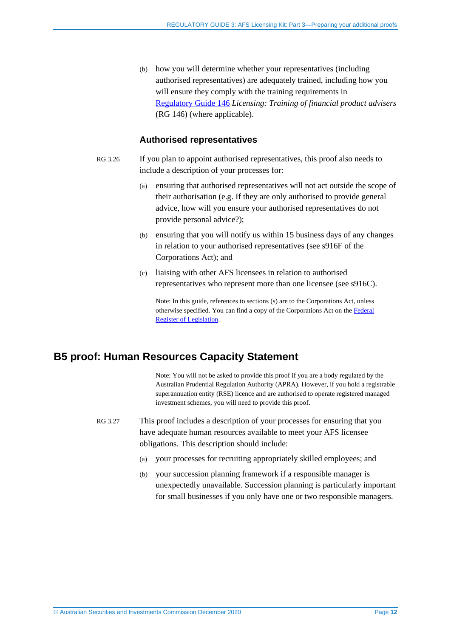(b) how you will determine whether your representatives (including authorised representatives) are adequately trained, including how you will ensure they comply with the training requirements in [Regulatory](http://www.asic.gov.au/regulatory-resources/find-a-document/regulatory-guides/rg-146-licensing-training-of-financial-product-advisers/) Guide 146 *Licensing: Training of financial product advisers* (RG 146) (where applicable).

### **Authorised representatives**

- RG 3.26 If you plan to appoint authorised representatives, this proof also needs to include a description of your processes for:
	- (a) ensuring that authorised representatives will not act outside the scope of their authorisation (e.g. If they are only authorised to provide general advice, how will you ensure your authorised representatives do not provide personal advice?);
	- (b) ensuring that you will notify us within 15 business days of any changes in relation to your authorised representatives (see s916F of the Corporations Act); and
	- (c) liaising with other AFS licensees in relation to authorised representatives who represent more than one licensee (see s916C).

Note: In this guide, references to sections (s) are to the Corporations Act, unless otherwise specified. You can find a copy of the Corporations Act on the [Federal](https://www.legislation.gov.au/)  [Register of Legislation.](https://www.legislation.gov.au/)

## <span id="page-11-0"></span>**B5 proof: Human Resources Capacity Statement**

Note: You will not be asked to provide this proof if you are a body regulated by the Australian Prudential Regulation Authority (APRA). However, if you hold a registrable superannuation entity (RSE) licence and are authorised to operate registered managed investment schemes, you will need to provide this proof.

- RG 3.27 This proof includes a description of your processes for ensuring that you have adequate human resources available to meet your AFS licensee obligations. This description should include:
	- (a) your processes for recruiting appropriately skilled employees; and
	- (b) your succession planning framework if a responsible manager is unexpectedly unavailable. Succession planning is particularly important for small businesses if you only have one or two responsible managers.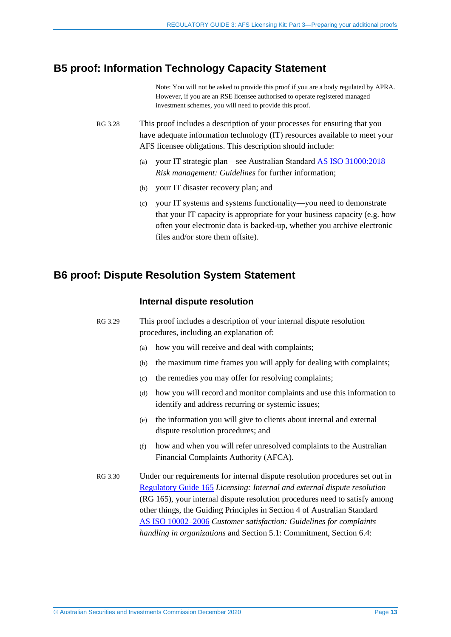## <span id="page-12-0"></span>**B5 proof: Information Technology Capacity Statement**

Note: You will not be asked to provide this proof if you are a body regulated by APRA. However, if you are an RSE licensee authorised to operate registered managed investment schemes, you will need to provide this proof.

- RG 3.28 This proof includes a description of your processes for ensuring that you have adequate information technology (IT) resources available to meet your AFS licensee obligations. This description should include:
	- (a) your IT strategic plan—see Australian Standard [AS ISO 31000:2018](https://www.standards.org.au/standards-catalogue/sa-snz/publicsafety/ob-007/as--iso--31000-colon-2018) *Risk management: Guidelines* for further information;
	- (b) your IT disaster recovery plan; and
	- (c) your IT systems and systems functionality—you need to demonstrate that your IT capacity is appropriate for your business capacity (e.g. how often your electronic data is backed-up, whether you archive electronic files and/or store them offsite).

## <span id="page-12-1"></span>**B6 proof: Dispute Resolution System Statement**

#### **Internal dispute resolution**

RG 3.29 This proof includes a description of your internal dispute resolution procedures, including an explanation of:

- (a) how you will receive and deal with complaints;
- (b) the maximum time frames you will apply for dealing with complaints;
- (c) the remedies you may offer for resolving complaints;
- (d) how you will record and monitor complaints and use this information to identify and address recurring or systemic issues;
- (e) the information you will give to clients about internal and external dispute resolution procedures; and
- (f) how and when you will refer unresolved complaints to the Australian Financial Complaints Authority (AFCA).
- RG 3.30 Under our requirements for internal dispute resolution procedures set out in [Regulatory Guide 165](http://www.asic.gov.au/regulatory-resources/find-a-document/regulatory-guides/rg-165-licensing-internal-and-external-dispute-resolution/) *Licensing: Internal and external dispute resolution* (RG 165), your internal dispute resolution procedures need to satisfy among other things, the Guiding Principles in Section 4 of Australian Standard AS [ISO 10002–2006](https://www.standards.org.au/standards-catalogue/sa-snz/publicsafety/ob-009/as--iso--10002-2006) *Customer satisfaction: Guidelines for complaints handling in organizations* and Section 5.1: Commitment, Section 6.4: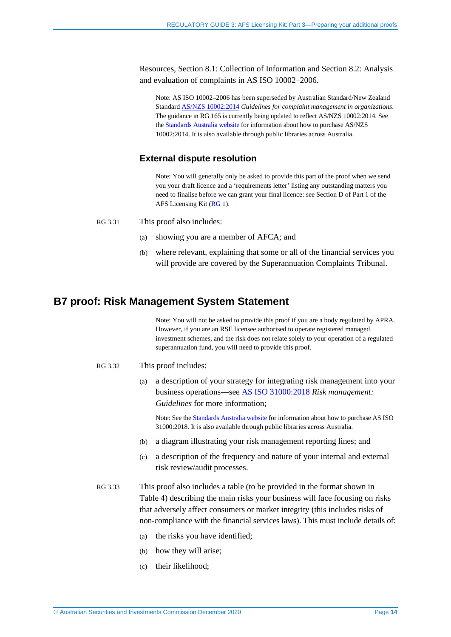Resources, Section 8.1: Collection of Information and Section 8.2: Analysis and evaluation of complaints in AS ISO 10002–2006.

Note: AS ISO 10002–2006 has been superseded by Australian Standard/New Zealand Standard [AS/NZS 10002:2014](https://www.standards.org.au/standards-catalogue/sa-snz/publicsafety/qr-015/as-slash-nzs--10002-colon-2014) *Guidelines for complaint management in organizations*. The guidance in RG 165 is currently being updated to reflect AS/NZS 10002:2014. See th[e Standards Australia website](https://www.standards.org.au/) for information about how to purchase AS/NZS 10002:2014. It is also available through public libraries across Australia.

### **External dispute resolution**

Note: You will generally only be asked to provide this part of the proof when we send you your draft licence and a 'requirements letter' listing any outstanding matters you need to finalise before we can grant your final licence: see Section D of Part 1 of the AFS Licensing Kit [\(RG 1\)](https://asic.gov.au/regulatory-resources/find-a-document/regulatory-guides/rg-1-afs-licensing-kit-part-1-applying-for-and-varying-an-afs-licence/).

- RG 3.31 This proof also includes:
	- (a) showing you are a member of AFCA; and
	- (b) where relevant, explaining that some or all of the financial services you will provide are covered by the Superannuation Complaints Tribunal.

# <span id="page-13-0"></span>**B7 proof: Risk Management System Statement**

Note: You will not be asked to provide this proof if you are a body regulated by APRA. However, if you are an RSE licensee authorised to operate registered managed investment schemes, and the risk does not relate solely to your operation of a regulated superannuation fund, you will need to provide this proof.

- RG 3.32 This proof includes:
	- (a) a description of your strategy for integrating risk management into your business operations—see [AS ISO 31000:2018](https://www.standards.org.au/standards-catalogue/sa-snz/publicsafety/ob-007/as--iso--31000-colon-2018) *Risk management: Guidelines* for more information;

Note: See the [Standards Australia website](https://www.standards.org.au/) for information about how to purchase AS ISO 31000:2018. It is also available through public libraries across Australia.

- (b) a diagram illustrating your risk management reporting lines; and
- (c) a description of the frequency and nature of your internal and external risk review/audit processes.
- RG 3.33 This proof also includes a table (to be provided in the format shown in [Table 4\)](#page-14-0) describing the main risks your business will face focusing on risks that adversely affect consumers or market integrity (this includes risks of non-compliance with the financial services laws). This must include details of:
	- (a) the risks you have identified;
	- (b) how they will arise;
	- (c) their likelihood;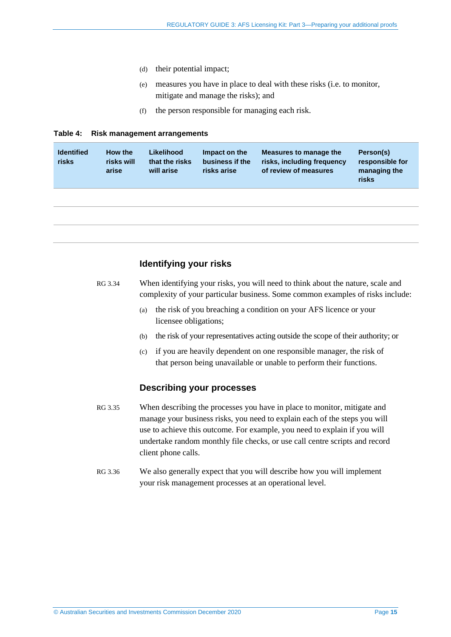- (d) their potential impact;
- (e) measures you have in place to deal with these risks (i.e. to monitor, mitigate and manage the risks); and
- (f) the person responsible for managing each risk.

#### <span id="page-14-0"></span>**Table 4: Risk management arrangements**

| <b>Identified</b><br>risks | How the<br>risks will<br>arise | Likelihood<br>that the risks<br>will arise | Impact on the<br>business if the<br>risks arise | Measures to manage the<br>risks, including frequency<br>of review of measures | Person(s)<br>responsible for<br>managing the<br>risks |
|----------------------------|--------------------------------|--------------------------------------------|-------------------------------------------------|-------------------------------------------------------------------------------|-------------------------------------------------------|
|                            |                                |                                            |                                                 |                                                                               |                                                       |
|                            |                                |                                            |                                                 |                                                                               |                                                       |

### **Identifying your risks**

- RG 3.34 When identifying your risks, you will need to think about the nature, scale and complexity of your particular business. Some common examples of risks include:
	- (a) the risk of you breaching a condition on your AFS licence or your licensee obligations;
	- (b) the risk of your representatives acting outside the scope of their authority; or
	- (c) if you are heavily dependent on one responsible manager, the risk of that person being unavailable or unable to perform their functions.

#### **Describing your processes**

- RG 3.35 When describing the processes you have in place to monitor, mitigate and manage your business risks, you need to explain each of the steps you will use to achieve this outcome. For example, you need to explain if you will undertake random monthly file checks, or use call centre scripts and record client phone calls.
- RG 3.36 We also generally expect that you will describe how you will implement your risk management processes at an operational level.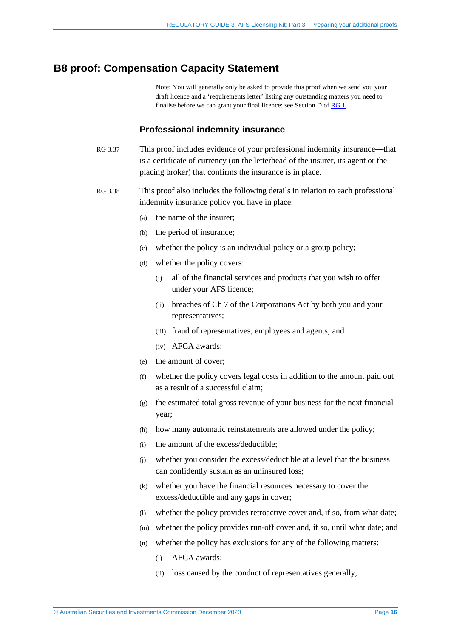### <span id="page-15-0"></span>**B8 proof: Compensation Capacity Statement**

Note: You will generally only be asked to provide this proof when we send you your draft licence and a 'requirements letter' listing any outstanding matters you need to finalise before we can grant your final licence: see Section D of [RG 1.](https://asic.gov.au/regulatory-resources/find-a-document/regulatory-guides/rg-1-afs-licensing-kit-part-1-applying-for-and-varying-an-afs-licence/)

#### **Professional indemnity insurance**

- RG 3.37 This proof includes evidence of your professional indemnity insurance—that is a certificate of currency (on the letterhead of the insurer, its agent or the placing broker) that confirms the insurance is in place.
- RG 3.38 This proof also includes the following details in relation to each professional indemnity insurance policy you have in place:
	- (a) the name of the insurer;
	- (b) the period of insurance;
	- (c) whether the policy is an individual policy or a group policy;
	- (d) whether the policy covers:
		- (i) all of the financial services and products that you wish to offer under your AFS licence;
		- (ii) breaches of Ch 7 of the Corporations Act by both you and your representatives;
		- (iii) fraud of representatives, employees and agents; and
		- (iv) AFCA awards;
	- (e) the amount of cover;
	- (f) whether the policy covers legal costs in addition to the amount paid out as a result of a successful claim;
	- (g) the estimated total gross revenue of your business for the next financial year;
	- (h) how many automatic reinstatements are allowed under the policy;
	- (i) the amount of the excess/deductible;
	- (j) whether you consider the excess/deductible at a level that the business can confidently sustain as an uninsured loss;
	- (k) whether you have the financial resources necessary to cover the excess/deductible and any gaps in cover;
	- (l) whether the policy provides retroactive cover and, if so, from what date;
	- (m) whether the policy provides run-off cover and, if so, until what date; and
	- (n) whether the policy has exclusions for any of the following matters:
		- (i) AFCA awards;
		- (ii) loss caused by the conduct of representatives generally;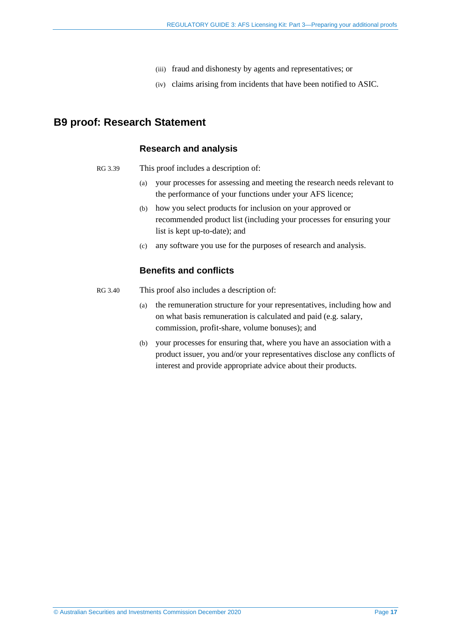- (iii) fraud and dishonesty by agents and representatives; or
- (iv) claims arising from incidents that have been notified to ASIC.

### <span id="page-16-0"></span>**B9 proof: Research Statement**

#### **Research and analysis**

- RG 3.39 This proof includes a description of:
	- (a) your processes for assessing and meeting the research needs relevant to the performance of your functions under your AFS licence;
	- (b) how you select products for inclusion on your approved or recommended product list (including your processes for ensuring your list is kept up-to-date); and
	- (c) any software you use for the purposes of research and analysis.

#### **Benefits and conflicts**

- RG 3.40 This proof also includes a description of:
	- (a) the remuneration structure for your representatives, including how and on what basis remuneration is calculated and paid (e.g. salary, commission, profit-share, volume bonuses); and
	- (b) your processes for ensuring that, where you have an association with a product issuer, you and/or your representatives disclose any conflicts of interest and provide appropriate advice about their products.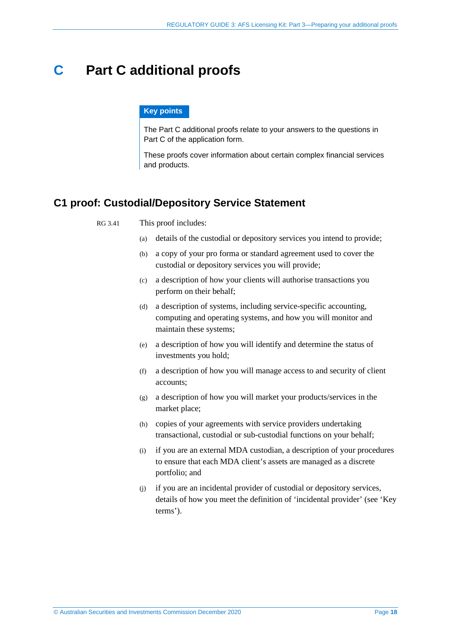# <span id="page-17-0"></span>**C Part C additional proofs**

#### **Key points**

The Part C additional proofs relate to your answers to the questions in Part C of the application form.

These proofs cover information about certain complex financial services and products.

## <span id="page-17-1"></span>**C1 proof: Custodial/Depository Service Statement**

| RG 3.41 |  | This proof includes: |
|---------|--|----------------------|
|---------|--|----------------------|

- (a) details of the custodial or depository services you intend to provide;
- (b) a copy of your pro forma or standard agreement used to cover the custodial or depository services you will provide;
- (c) a description of how your clients will authorise transactions you perform on their behalf;
- (d) a description of systems, including service-specific accounting, computing and operating systems, and how you will monitor and maintain these systems;
- (e) a description of how you will identify and determine the status of investments you hold;
- (f) a description of how you will manage access to and security of client accounts;
- (g) a description of how you will market your products/services in the market place;
- (h) copies of your agreements with service providers undertaking transactional, custodial or sub-custodial functions on your behalf;
- (i) if you are an external MDA custodian, a description of your procedures to ensure that each MDA client's assets are managed as a discrete portfolio; and
- (j) if you are an incidental provider of custodial or depository services, details of how you meet the definition of 'incidental provider' (see 'Key terms').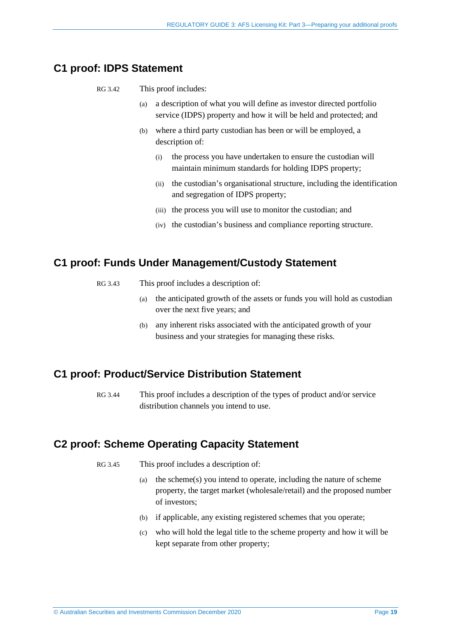# <span id="page-18-0"></span>**C1 proof: IDPS Statement**

- RG 3.42 This proof includes:
	- (a) a description of what you will define as investor directed portfolio service (IDPS) property and how it will be held and protected; and
	- (b) where a third party custodian has been or will be employed, a description of:
		- (i) the process you have undertaken to ensure the custodian will maintain minimum standards for holding IDPS property;
		- (ii) the custodian's organisational structure, including the identification and segregation of IDPS property;
		- (iii) the process you will use to monitor the custodian; and
		- (iv) the custodian's business and compliance reporting structure.

## <span id="page-18-1"></span>**C1 proof: Funds Under Management/Custody Statement**

- RG 3.43 This proof includes a description of:
	- (a) the anticipated growth of the assets or funds you will hold as custodian over the next five years; and
	- (b) any inherent risks associated with the anticipated growth of your business and your strategies for managing these risks.

### <span id="page-18-2"></span>**C1 proof: Product/Service Distribution Statement**

RG 3.44 This proof includes a description of the types of product and/or service distribution channels you intend to use.

## <span id="page-18-3"></span>**C2 proof: Scheme Operating Capacity Statement**

- RG 3.45 This proof includes a description of:
	- (a) the scheme(s) you intend to operate, including the nature of scheme property, the target market (wholesale/retail) and the proposed number of investors;
	- (b) if applicable, any existing registered schemes that you operate;
	- (c) who will hold the legal title to the scheme property and how it will be kept separate from other property;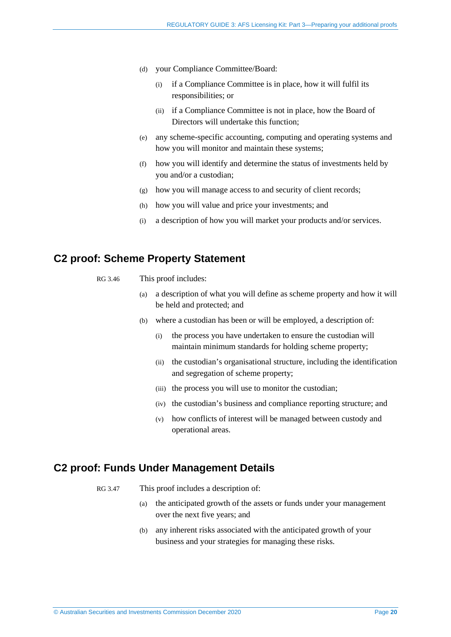- (d) your Compliance Committee/Board:
	- (i) if a Compliance Committee is in place, how it will fulfil its responsibilities; or
	- (ii) if a Compliance Committee is not in place, how the Board of Directors will undertake this function;
- (e) any scheme-specific accounting, computing and operating systems and how you will monitor and maintain these systems;
- (f) how you will identify and determine the status of investments held by you and/or a custodian;
- (g) how you will manage access to and security of client records;
- (h) how you will value and price your investments; and
- (i) a description of how you will market your products and/or services.

### <span id="page-19-0"></span>**C2 proof: Scheme Property Statement**

| RG 3.46 |  | This proof includes: |
|---------|--|----------------------|
|---------|--|----------------------|

- (a) a description of what you will define as scheme property and how it will be held and protected; and
- (b) where a custodian has been or will be employed, a description of:
	- (i) the process you have undertaken to ensure the custodian will maintain minimum standards for holding scheme property;
	- (ii) the custodian's organisational structure, including the identification and segregation of scheme property;
	- (iii) the process you will use to monitor the custodian;
	- (iv) the custodian's business and compliance reporting structure; and
	- (v) how conflicts of interest will be managed between custody and operational areas.

### <span id="page-19-1"></span>**C2 proof: Funds Under Management Details**

- RG 3.47 This proof includes a description of:
	- (a) the anticipated growth of the assets or funds under your management over the next five years; and
	- (b) any inherent risks associated with the anticipated growth of your business and your strategies for managing these risks.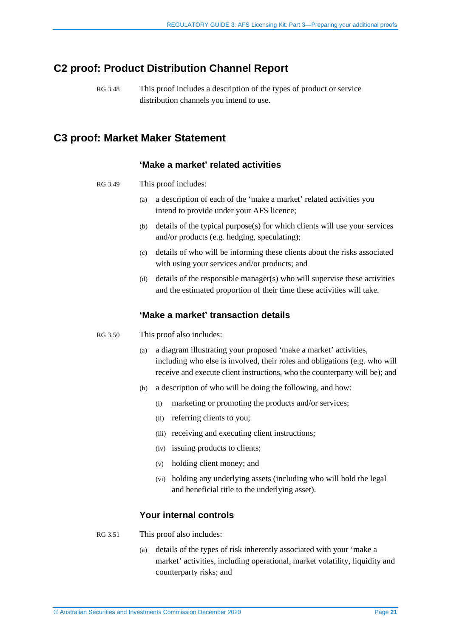## <span id="page-20-0"></span>**C2 proof: Product Distribution Channel Report**

RG 3.48 This proof includes a description of the types of product or service distribution channels you intend to use.

# <span id="page-20-1"></span>**C3 proof: Market Maker Statement**

#### **'Make a market' related activities**

- RG 3.49 This proof includes:
	- (a) a description of each of the 'make a market' related activities you intend to provide under your AFS licence;
	- (b) details of the typical purpose(s) for which clients will use your services and/or products (e.g. hedging, speculating);
	- (c) details of who will be informing these clients about the risks associated with using your services and/or products; and
	- (d) details of the responsible manager(s) who will supervise these activities and the estimated proportion of their time these activities will take.

### **'Make a market' transaction details**

- RG 3.50 This proof also includes:
	- (a) a diagram illustrating your proposed 'make a market' activities, including who else is involved, their roles and obligations (e.g. who will receive and execute client instructions, who the counterparty will be); and
	- (b) a description of who will be doing the following, and how:
		- (i) marketing or promoting the products and/or services;
		- (ii) referring clients to you;
		- (iii) receiving and executing client instructions;
		- (iv) issuing products to clients;
		- (v) holding client money; and
		- (vi) holding any underlying assets (including who will hold the legal and beneficial title to the underlying asset).

### **Your internal controls**

#### RG 3.51 This proof also includes:

(a) details of the types of risk inherently associated with your 'make a market' activities, including operational, market volatility, liquidity and counterparty risks; and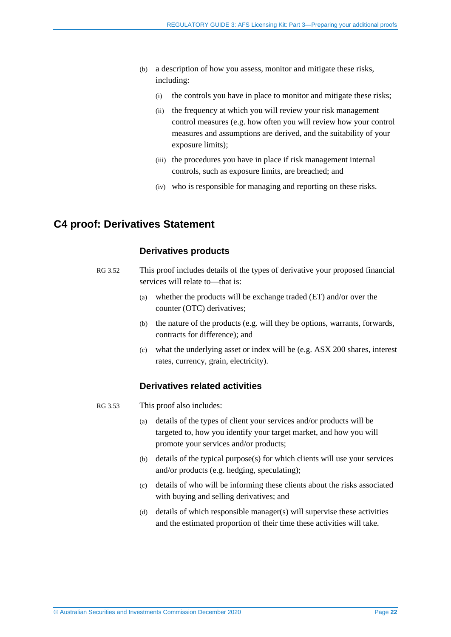- (b) a description of how you assess, monitor and mitigate these risks, including:
	- (i) the controls you have in place to monitor and mitigate these risks;
	- (ii) the frequency at which you will review your risk management control measures (e.g. how often you will review how your control measures and assumptions are derived, and the suitability of your exposure limits);
	- (iii) the procedures you have in place if risk management internal controls, such as exposure limits, are breached; and
	- (iv) who is responsible for managing and reporting on these risks.

### <span id="page-21-0"></span>**C4 proof: Derivatives Statement**

#### **Derivatives products**

- RG 3.52 This proof includes details of the types of derivative your proposed financial services will relate to—that is:
	- (a) whether the products will be exchange traded (ET) and/or over the counter (OTC) derivatives;
	- (b) the nature of the products (e.g. will they be options, warrants, forwards, contracts for difference); and
	- (c) what the underlying asset or index will be (e.g. ASX 200 shares, interest rates, currency, grain, electricity).

### **Derivatives related activities**

- RG 3.53 This proof also includes:
	- (a) details of the types of client your services and/or products will be targeted to, how you identify your target market, and how you will promote your services and/or products;
	- (b) details of the typical purpose(s) for which clients will use your services and/or products (e.g. hedging, speculating);
	- (c) details of who will be informing these clients about the risks associated with buying and selling derivatives; and
	- (d) details of which responsible manager(s) will supervise these activities and the estimated proportion of their time these activities will take.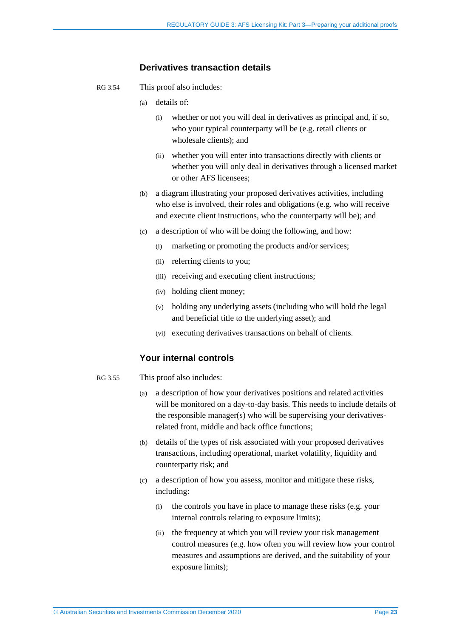### **Derivatives transaction details**

- RG 3.54 This proof also includes:
	- (a) details of:
		- (i) whether or not you will deal in derivatives as principal and, if so, who your typical counterparty will be (e.g. retail clients or wholesale clients); and
		- (ii) whether you will enter into transactions directly with clients or whether you will only deal in derivatives through a licensed market or other AFS licensees;
	- (b) a diagram illustrating your proposed derivatives activities, including who else is involved, their roles and obligations (e.g. who will receive and execute client instructions, who the counterparty will be); and
	- (c) a description of who will be doing the following, and how:
		- (i) marketing or promoting the products and/or services;
		- (ii) referring clients to you;
		- (iii) receiving and executing client instructions;
		- (iv) holding client money;
		- (v) holding any underlying assets (including who will hold the legal and beneficial title to the underlying asset); and
		- (vi) executing derivatives transactions on behalf of clients.

### **Your internal controls**

- RG 3.55 This proof also includes:
	- (a) a description of how your derivatives positions and related activities will be monitored on a day-to-day basis. This needs to include details of the responsible manager(s) who will be supervising your derivativesrelated front, middle and back office functions;
	- (b) details of the types of risk associated with your proposed derivatives transactions, including operational, market volatility, liquidity and counterparty risk; and
	- (c) a description of how you assess, monitor and mitigate these risks, including:
		- (i) the controls you have in place to manage these risks (e.g. your internal controls relating to exposure limits);
		- (ii) the frequency at which you will review your risk management control measures (e.g. how often you will review how your control measures and assumptions are derived, and the suitability of your exposure limits);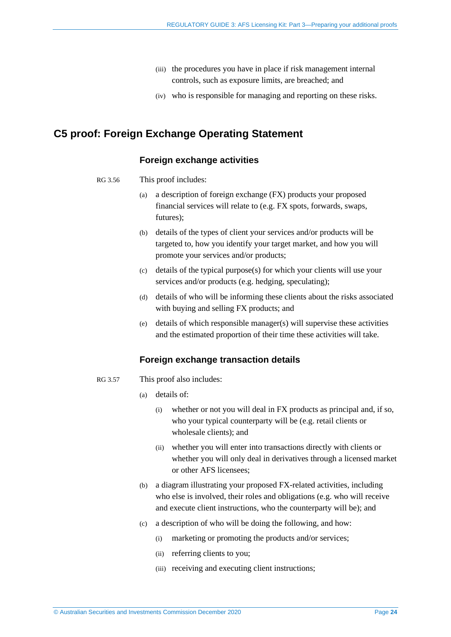- (iii) the procedures you have in place if risk management internal controls, such as exposure limits, are breached; and
- (iv) who is responsible for managing and reporting on these risks.

# <span id="page-23-0"></span>**C5 proof: Foreign Exchange Operating Statement**

### **Foreign exchange activities**

- RG 3.56 This proof includes:
	- (a) a description of foreign exchange (FX) products your proposed financial services will relate to (e.g. FX spots, forwards, swaps, futures);
	- (b) details of the types of client your services and/or products will be targeted to, how you identify your target market, and how you will promote your services and/or products;
	- (c) details of the typical purpose(s) for which your clients will use your services and/or products (e.g. hedging, speculating);
	- (d) details of who will be informing these clients about the risks associated with buying and selling FX products; and
	- (e) details of which responsible manager(s) will supervise these activities and the estimated proportion of their time these activities will take.

### **Foreign exchange transaction details**

- RG 3.57 This proof also includes:
	- (a) details of:
		- (i) whether or not you will deal in FX products as principal and, if so, who your typical counterparty will be (e.g. retail clients or wholesale clients); and
		- (ii) whether you will enter into transactions directly with clients or whether you will only deal in derivatives through a licensed market or other AFS licensees;
	- (b) a diagram illustrating your proposed FX-related activities, including who else is involved, their roles and obligations (e.g. who will receive and execute client instructions, who the counterparty will be); and
	- (c) a description of who will be doing the following, and how:
		- (i) marketing or promoting the products and/or services;
		- (ii) referring clients to you;
		- (iii) receiving and executing client instructions;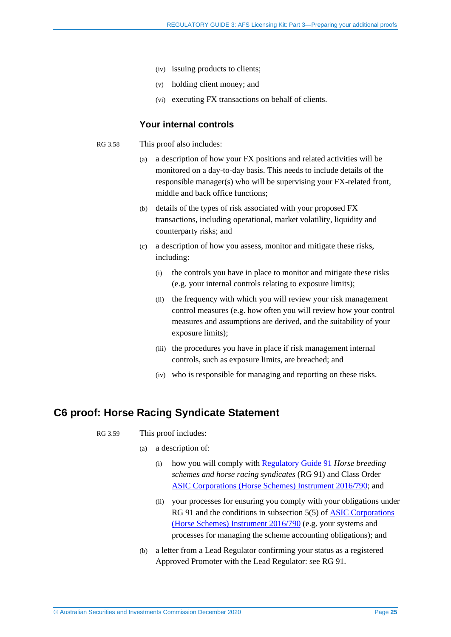- (iv) issuing products to clients;
- (v) holding client money; and
- (vi) executing FX transactions on behalf of clients.

#### **Your internal controls**

- RG 3.58 This proof also includes:
	- (a) a description of how your FX positions and related activities will be monitored on a day-to-day basis. This needs to include details of the responsible manager(s) who will be supervising your FX-related front, middle and back office functions;
	- (b) details of the types of risk associated with your proposed FX transactions, including operational, market volatility, liquidity and counterparty risks; and
	- (c) a description of how you assess, monitor and mitigate these risks, including:
		- (i) the controls you have in place to monitor and mitigate these risks (e.g. your internal controls relating to exposure limits);
		- (ii) the frequency with which you will review your risk management control measures (e.g. how often you will review how your control measures and assumptions are derived, and the suitability of your exposure limits);
		- (iii) the procedures you have in place if risk management internal controls, such as exposure limits, are breached; and
		- (iv) who is responsible for managing and reporting on these risks.

### <span id="page-24-0"></span>**C6 proof: Horse Racing Syndicate Statement**

#### RG 3.59 This proof includes:

- (a) a description of:
	- (i) how you will comply wit[h Regulatory Guide 91](http://www.asic.gov.au/regulatory-resources/find-a-document/regulatory-guides/rg-91-horse-breeding-schemes-and-horse-racing-syndicates/) *Horse breeding schemes and horse racing syndicates* (RG 91) and Class Order [ASIC Corporations \(Horse Schemes\) Instrument 2016/790;](https://www.legislation.gov.au/Series/F2016L01346) and
	- (ii) your processes for ensuring you comply with your obligations under RG 91 and the conditions in subsection 5(5) of [ASIC Corporations](https://www.legislation.gov.au/Series/F2016L01346)  [\(Horse Schemes\) Instrument 2016/790](https://www.legislation.gov.au/Series/F2016L01346) (e.g. your systems and processes for managing the scheme accounting obligations); and
- (b) a letter from a Lead Regulator confirming your status as a registered Approved Promoter with the Lead Regulator: see RG 91.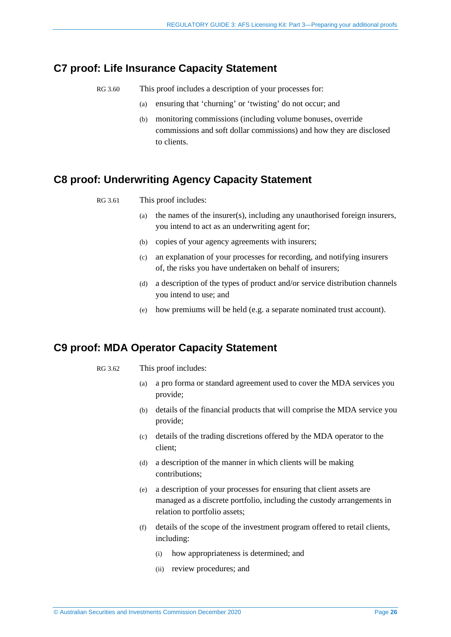## <span id="page-25-0"></span>**C7 proof: Life Insurance Capacity Statement**

- RG 3.60 This proof includes a description of your processes for:
	- (a) ensuring that 'churning' or 'twisting' do not occur; and
	- (b) monitoring commissions (including volume bonuses, override commissions and soft dollar commissions) and how they are disclosed to clients.

# <span id="page-25-1"></span>**C8 proof: Underwriting Agency Capacity Statement**

RG 3.61 This proof includes:

- (a) the names of the insurer(s), including any unauthorised foreign insurers, you intend to act as an underwriting agent for;
- (b) copies of your agency agreements with insurers;
- (c) an explanation of your processes for recording, and notifying insurers of, the risks you have undertaken on behalf of insurers;
- (d) a description of the types of product and/or service distribution channels you intend to use; and
- (e) how premiums will be held (e.g. a separate nominated trust account).

## <span id="page-25-2"></span>**C9 proof: MDA Operator Capacity Statement**

- RG 3.62 This proof includes:
	- (a) a pro forma or standard agreement used to cover the MDA services you provide;
	- (b) details of the financial products that will comprise the MDA service you provide;
	- (c) details of the trading discretions offered by the MDA operator to the client;
	- (d) a description of the manner in which clients will be making contributions;
	- (e) a description of your processes for ensuring that client assets are managed as a discrete portfolio, including the custody arrangements in relation to portfolio assets;
	- (f) details of the scope of the investment program offered to retail clients, including:
		- (i) how appropriateness is determined; and
		- (ii) review procedures; and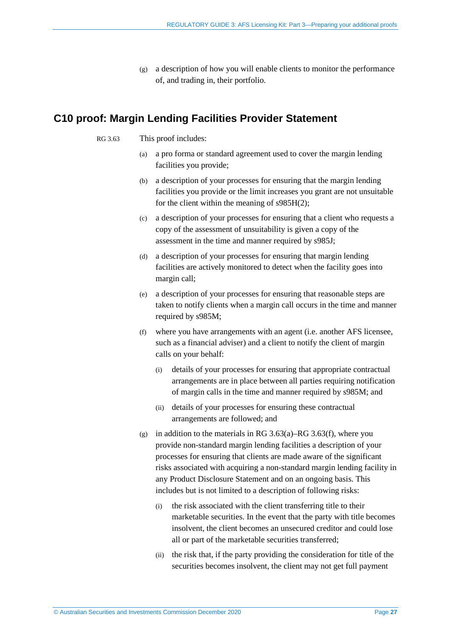(g) a description of how you will enable clients to monitor the performance of, and trading in, their portfolio.

## <span id="page-26-1"></span><span id="page-26-0"></span>**C10 proof: Margin Lending Facilities Provider Statement**

#### RG 3.63 This proof includes:

- (a) a pro forma or standard agreement used to cover the margin lending facilities you provide;
- (b) a description of your processes for ensuring that the margin lending facilities you provide or the limit increases you grant are not unsuitable for the client within the meaning of s985H(2);
- (c) a description of your processes for ensuring that a client who requests a copy of the assessment of unsuitability is given a copy of the assessment in the time and manner required by s985J;
- (d) a description of your processes for ensuring that margin lending facilities are actively monitored to detect when the facility goes into margin call;
- (e) a description of your processes for ensuring that reasonable steps are taken to notify clients when a margin call occurs in the time and manner required by s985M;
- <span id="page-26-2"></span>(f) where you have arrangements with an agent (i.e. another AFS licensee, such as a financial adviser) and a client to notify the client of margin calls on your behalf:
	- (i) details of your processes for ensuring that appropriate contractual arrangements are in place between all parties requiring notification of margin calls in the time and manner required by s985M; and
	- (ii) details of your processes for ensuring these contractual arrangements are followed; and
- (g) in addition to the materials in RG [3.63\(a\)–](#page-26-1)RG [3.63\(f\),](#page-26-2) where you provide non-standard margin lending facilities a description of your processes for ensuring that clients are made aware of the significant risks associated with acquiring a non-standard margin lending facility in any Product Disclosure Statement and on an ongoing basis. This includes but is not limited to a description of following risks:
	- (i) the risk associated with the client transferring title to their marketable securities. In the event that the party with title becomes insolvent, the client becomes an unsecured creditor and could lose all or part of the marketable securities transferred;
	- (ii) the risk that, if the party providing the consideration for title of the securities becomes insolvent, the client may not get full payment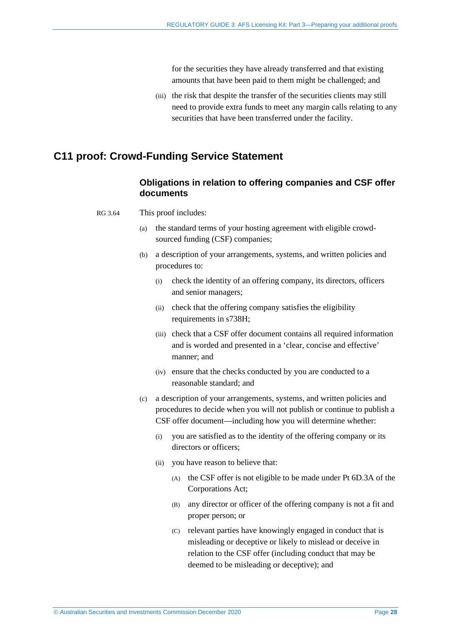for the securities they have already transferred and that existing amounts that have been paid to them might be challenged; and

(iii) the risk that despite the transfer of the securities clients may still need to provide extra funds to meet any margin calls relating to any securities that have been transferred under the facility.

### <span id="page-27-0"></span>**C11 proof: Crowd-Funding Service Statement**

### **Obligations in relation to offering companies and CSF offer documents**

- RG 3.64 This proof includes:
	- (a) the standard terms of your hosting agreement with eligible crowdsourced funding (CSF) companies;
	- (b) a description of your arrangements, systems, and written policies and procedures to:
		- (i) check the identity of an offering company, its directors, officers and senior managers;
		- (ii) check that the offering company satisfies the eligibility requirements in s738H;
		- (iii) check that a CSF offer document contains all required information and is worded and presented in a 'clear, concise and effective' manner; and
		- (iv) ensure that the checks conducted by you are conducted to a reasonable standard; and
	- (c) a description of your arrangements, systems, and written policies and procedures to decide when you will not publish or continue to publish a CSF offer document—including how you will determine whether:
		- (i) you are satisfied as to the identity of the offering company or its directors or officers;
		- (ii) you have reason to believe that:
			- (A) the CSF offer is not eligible to be made under Pt 6D.3A of the Corporations Act;
			- (B) any director or officer of the offering company is not a fit and proper person; or
			- (C) relevant parties have knowingly engaged in conduct that is misleading or deceptive or likely to mislead or deceive in relation to the CSF offer (including conduct that may be deemed to be misleading or deceptive); and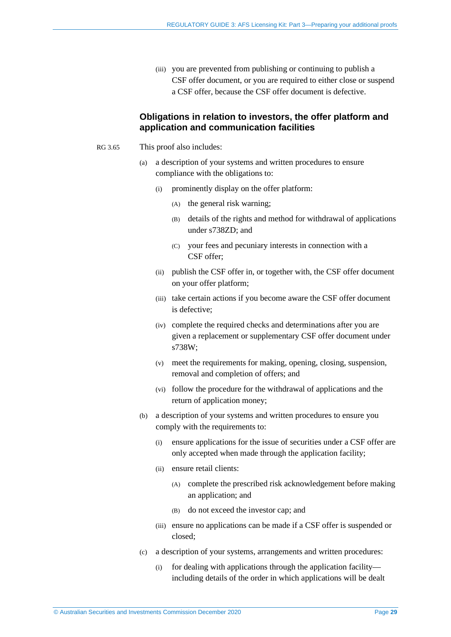(iii) you are prevented from publishing or continuing to publish a CSF offer document, or you are required to either close or suspend a CSF offer, because the CSF offer document is defective.

#### **Obligations in relation to investors, the offer platform and application and communication facilities**

- RG 3.65 This proof also includes:
	- (a) a description of your systems and written procedures to ensure compliance with the obligations to:
		- (i) prominently display on the offer platform:
			- (A) the general risk warning;
			- (B) details of the rights and method for withdrawal of applications under s738ZD; and
			- (C) your fees and pecuniary interests in connection with a CSF offer;
		- (ii) publish the CSF offer in, or together with, the CSF offer document on your offer platform;
		- (iii) take certain actions if you become aware the CSF offer document is defective;
		- (iv) complete the required checks and determinations after you are given a replacement or supplementary CSF offer document under s738W;
		- (v) meet the requirements for making, opening, closing, suspension, removal and completion of offers; and
		- (vi) follow the procedure for the withdrawal of applications and the return of application money;
	- (b) a description of your systems and written procedures to ensure you comply with the requirements to:
		- (i) ensure applications for the issue of securities under a CSF offer are only accepted when made through the application facility;
		- (ii) ensure retail clients:
			- (A) complete the prescribed risk acknowledgement before making an application; and
			- (B) do not exceed the investor cap; and
		- (iii) ensure no applications can be made if a CSF offer is suspended or closed;
	- (c) a description of your systems, arrangements and written procedures:
		- (i) for dealing with applications through the application facility including details of the order in which applications will be dealt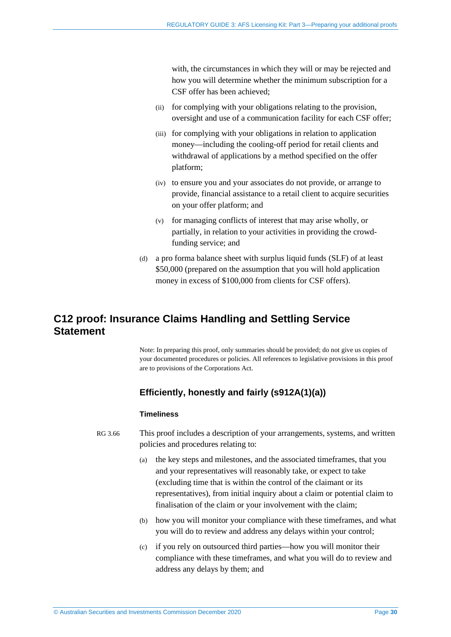with, the circumstances in which they will or may be rejected and how you will determine whether the minimum subscription for a CSF offer has been achieved;

- (ii) for complying with your obligations relating to the provision, oversight and use of a communication facility for each CSF offer;
- (iii) for complying with your obligations in relation to application money—including the cooling-off period for retail clients and withdrawal of applications by a method specified on the offer platform;
- (iv) to ensure you and your associates do not provide, or arrange to provide, financial assistance to a retail client to acquire securities on your offer platform; and
- (v) for managing conflicts of interest that may arise wholly, or partially, in relation to your activities in providing the crowdfunding service; and
- (d) a pro forma balance sheet with surplus liquid funds (SLF) of at least \$50,000 (prepared on the assumption that you will hold application money in excess of \$100,000 from clients for CSF offers).

## <span id="page-29-0"></span>**C12 proof: Insurance Claims Handling and Settling Service Statement**

Note: In preparing this proof, only summaries should be provided; do not give us copies of your documented procedures or policies. All references to legislative provisions in this proof are to provisions of the Corporations Act.

### **Efficiently, honestly and fairly (s912A(1)(a))**

#### **Timeliness**

- RG 3.66 This proof includes a description of your arrangements, systems, and written policies and procedures relating to:
	- (a) the key steps and milestones, and the associated timeframes, that you and your representatives will reasonably take, or expect to take (excluding time that is within the control of the claimant or its representatives), from initial inquiry about a claim or potential claim to finalisation of the claim or your involvement with the claim;
	- (b) how you will monitor your compliance with these timeframes, and what you will do to review and address any delays within your control;
	- (c) if you rely on outsourced third parties—how you will monitor their compliance with these timeframes, and what you will do to review and address any delays by them; and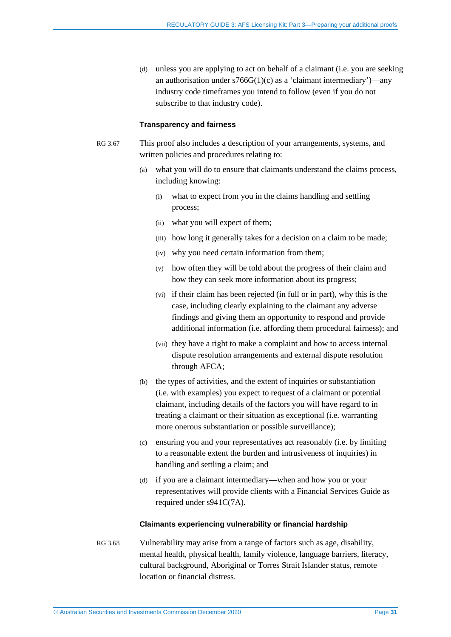(d) unless you are applying to act on behalf of a claimant (i.e. you are seeking an authorisation under  $s766G(1)(c)$  as a 'claimant intermediary')—any industry code timeframes you intend to follow (even if you do not subscribe to that industry code).

#### **Transparency and fairness**

- RG 3.67 This proof also includes a description of your arrangements, systems, and written policies and procedures relating to:
	- (a) what you will do to ensure that claimants understand the claims process, including knowing:
		- (i) what to expect from you in the claims handling and settling process;
		- (ii) what you will expect of them;
		- (iii) how long it generally takes for a decision on a claim to be made;
		- (iv) why you need certain information from them;
		- (v) how often they will be told about the progress of their claim and how they can seek more information about its progress;
		- (vi) if their claim has been rejected (in full or in part), why this is the case, including clearly explaining to the claimant any adverse findings and giving them an opportunity to respond and provide additional information (i.e. affording them procedural fairness); and
		- (vii) they have a right to make a complaint and how to access internal dispute resolution arrangements and external dispute resolution through AFCA;
	- (b) the types of activities, and the extent of inquiries or substantiation (i.e. with examples) you expect to request of a claimant or potential claimant, including details of the factors you will have regard to in treating a claimant or their situation as exceptional (i.e. warranting more onerous substantiation or possible surveillance);
	- (c) ensuring you and your representatives act reasonably (i.e. by limiting to a reasonable extent the burden and intrusiveness of inquiries) in handling and settling a claim; and
	- (d) if you are a claimant intermediary—when and how you or your representatives will provide clients with a Financial Services Guide as required under s941C(7A).

#### **Claimants experiencing vulnerability or financial hardship**

RG 3.68 Vulnerability may arise from a range of factors such as age, disability, mental health, physical health, family violence, language barriers, literacy, cultural background, Aboriginal or Torres Strait Islander status, remote location or financial distress.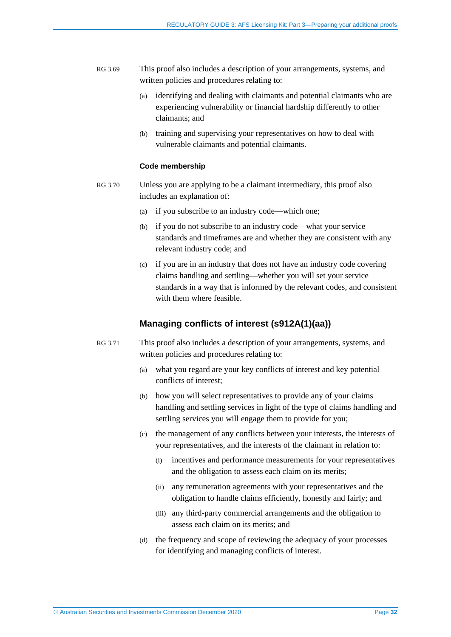- RG 3.69 This proof also includes a description of your arrangements, systems, and written policies and procedures relating to:
	- (a) identifying and dealing with claimants and potential claimants who are experiencing vulnerability or financial hardship differently to other claimants; and
	- (b) training and supervising your representatives on how to deal with vulnerable claimants and potential claimants.

#### **Code membership**

- RG 3.70 Unless you are applying to be a claimant intermediary, this proof also includes an explanation of:
	- (a) if you subscribe to an industry code—which one;
	- (b) if you do not subscribe to an industry code—what your service standards and timeframes are and whether they are consistent with any relevant industry code; and
	- (c) if you are in an industry that does not have an industry code covering claims handling and settling—whether you will set your service standards in a way that is informed by the relevant codes, and consistent with them where feasible.

#### **Managing conflicts of interest (s912A(1)(aa))**

- RG 3.71 This proof also includes a description of your arrangements, systems, and written policies and procedures relating to:
	- (a) what you regard are your key conflicts of interest and key potential conflicts of interest;
	- (b) how you will select representatives to provide any of your claims handling and settling services in light of the type of claims handling and settling services you will engage them to provide for you;
	- (c) the management of any conflicts between your interests, the interests of your representatives, and the interests of the claimant in relation to:
		- (i) incentives and performance measurements for your representatives and the obligation to assess each claim on its merits;
		- (ii) any remuneration agreements with your representatives and the obligation to handle claims efficiently, honestly and fairly; and
		- (iii) any third-party commercial arrangements and the obligation to assess each claim on its merits; and
	- (d) the frequency and scope of reviewing the adequacy of your processes for identifying and managing conflicts of interest.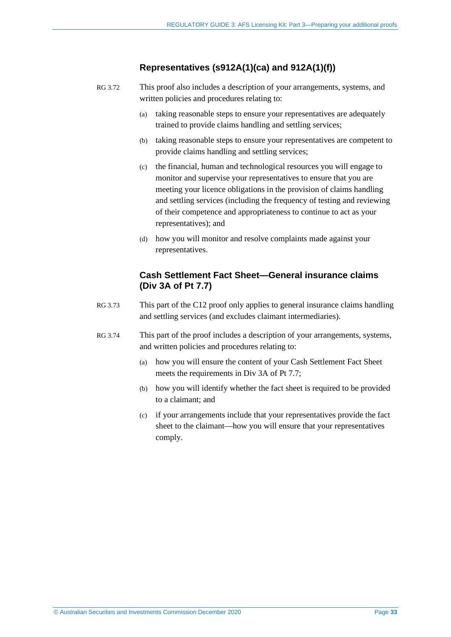### **Representatives (s912A(1)(ca) and 912A(1)(f))**

- RG 3.72 This proof also includes a description of your arrangements, systems, and written policies and procedures relating to:
	- (a) taking reasonable steps to ensure your representatives are adequately trained to provide claims handling and settling services;
	- (b) taking reasonable steps to ensure your representatives are competent to provide claims handling and settling services;
	- (c) the financial, human and technological resources you will engage to monitor and supervise your representatives to ensure that you are meeting your licence obligations in the provision of claims handling and settling services (including the frequency of testing and reviewing of their competence and appropriateness to continue to act as your representatives); and
	- (d) how you will monitor and resolve complaints made against your representatives.

### **Cash Settlement Fact Sheet—General insurance claims (Div 3A of Pt 7.7)**

- RG 3.73 This part of the C12 proof only applies to general insurance claims handling and settling services (and excludes claimant intermediaries).
- RG 3.74 This part of the proof includes a description of your arrangements, systems, and written policies and procedures relating to:
	- (a) how you will ensure the content of your Cash Settlement Fact Sheet meets the requirements in Div 3A of Pt 7.7;
	- (b) how you will identify whether the fact sheet is required to be provided to a claimant; and
	- (c) if your arrangements include that your representatives provide the fact sheet to the claimant—how you will ensure that your representatives comply.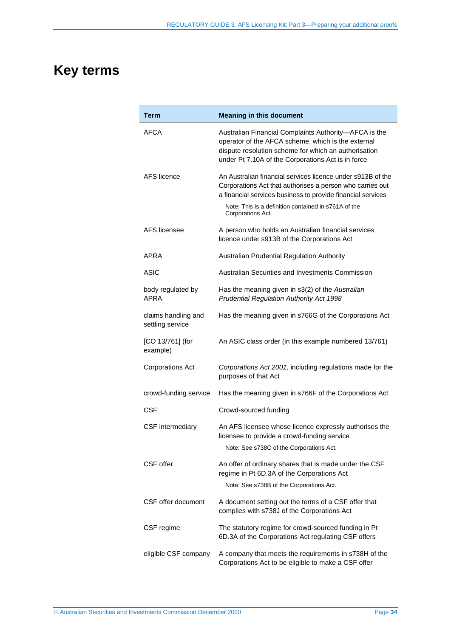# <span id="page-33-0"></span>**Key terms**

| Term                                    | <b>Meaning in this document</b>                                                                                                                                                                                                                                      |
|-----------------------------------------|----------------------------------------------------------------------------------------------------------------------------------------------------------------------------------------------------------------------------------------------------------------------|
| AFCA                                    | Australian Financial Complaints Authority-AFCA is the<br>operator of the AFCA scheme, which is the external<br>dispute resolution scheme for which an authorisation<br>under Pt 7.10A of the Corporations Act is in force                                            |
| AFS licence                             | An Australian financial services licence under s913B of the<br>Corporations Act that authorises a person who carries out<br>a financial services business to provide financial services<br>Note: This is a definition contained in s761A of the<br>Corporations Act. |
| <b>AFS</b> licensee                     | A person who holds an Australian financial services<br>licence under s913B of the Corporations Act                                                                                                                                                                   |
| APRA                                    | Australian Prudential Regulation Authority                                                                                                                                                                                                                           |
| <b>ASIC</b>                             | Australian Securities and Investments Commission                                                                                                                                                                                                                     |
| body regulated by<br><b>APRA</b>        | Has the meaning given in s3(2) of the Australian<br>Prudential Regulation Authority Act 1998                                                                                                                                                                         |
| claims handling and<br>settling service | Has the meaning given in s766G of the Corporations Act                                                                                                                                                                                                               |
| [CO 13/761] (for<br>example)            | An ASIC class order (in this example numbered 13/761)                                                                                                                                                                                                                |
| <b>Corporations Act</b>                 | Corporations Act 2001, including regulations made for the<br>purposes of that Act                                                                                                                                                                                    |
| crowd-funding service                   | Has the meaning given in s766F of the Corporations Act                                                                                                                                                                                                               |
| <b>CSF</b>                              | Crowd-sourced funding                                                                                                                                                                                                                                                |
| <b>CSF</b> intermediary                 | An AFS licensee whose licence expressly authorises the<br>licensee to provide a crowd-funding service<br>Note: See s738C of the Corporations Act.                                                                                                                    |
| CSF offer                               | An offer of ordinary shares that is made under the CSF<br>regime in Pt 6D.3A of the Corporations Act<br>Note: See s738B of the Corporations Act.                                                                                                                     |
| CSF offer document                      | A document setting out the terms of a CSF offer that<br>complies with s738J of the Corporations Act                                                                                                                                                                  |
| CSF regime                              | The statutory regime for crowd-sourced funding in Pt<br>6D.3A of the Corporations Act regulating CSF offers                                                                                                                                                          |
| eligible CSF company                    | A company that meets the requirements in s738H of the<br>Corporations Act to be eligible to make a CSF offer                                                                                                                                                         |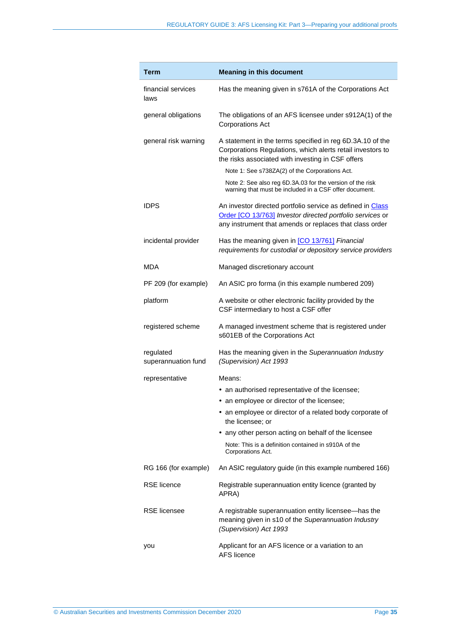| Term                             | <b>Meaning in this document</b>                                                                                                                                                    |
|----------------------------------|------------------------------------------------------------------------------------------------------------------------------------------------------------------------------------|
| financial services<br>laws       | Has the meaning given in s761A of the Corporations Act                                                                                                                             |
| general obligations              | The obligations of an AFS licensee under s912A(1) of the<br><b>Corporations Act</b>                                                                                                |
| general risk warning             | A statement in the terms specified in reg 6D.3A.10 of the<br>Corporations Regulations, which alerts retail investors to<br>the risks associated with investing in CSF offers       |
|                                  | Note 1: See s738ZA(2) of the Corporations Act.                                                                                                                                     |
|                                  | Note 2: See also reg 6D.3A.03 for the version of the risk<br>warning that must be included in a CSF offer document.                                                                |
| <b>IDPS</b>                      | An investor directed portfolio service as defined in Class<br>Order [CO 13/763] Investor directed portfolio services or<br>any instrument that amends or replaces that class order |
| incidental provider              | Has the meaning given in [CO 13/761] Financial<br>requirements for custodial or depository service providers                                                                       |
| MDA                              | Managed discretionary account                                                                                                                                                      |
| PF 209 (for example)             | An ASIC pro forma (in this example numbered 209)                                                                                                                                   |
| platform                         | A website or other electronic facility provided by the<br>CSF intermediary to host a CSF offer                                                                                     |
| registered scheme                | A managed investment scheme that is registered under<br>s601EB of the Corporations Act                                                                                             |
| regulated<br>superannuation fund | Has the meaning given in the Superannuation Industry<br>(Supervision) Act 1993                                                                                                     |
| representative                   | Means:                                                                                                                                                                             |
|                                  | • an authorised representative of the licensee;                                                                                                                                    |
|                                  | • an employee or director of the licensee;                                                                                                                                         |
|                                  | • an employee or director of a related body corporate of<br>the licensee; or                                                                                                       |
|                                  | • any other person acting on behalf of the licensee                                                                                                                                |
|                                  | Note: This is a definition contained in s910A of the<br>Corporations Act.                                                                                                          |
| RG 166 (for example)             | An ASIC regulatory guide (in this example numbered 166)                                                                                                                            |
| <b>RSE</b> licence               | Registrable superannuation entity licence (granted by<br>APRA)                                                                                                                     |
| <b>RSE</b> licensee              | A registrable superannuation entity licensee-has the<br>meaning given in s10 of the Superannuation Industry<br>(Supervision) Act 1993                                              |
| you                              | Applicant for an AFS licence or a variation to an<br><b>AFS licence</b>                                                                                                            |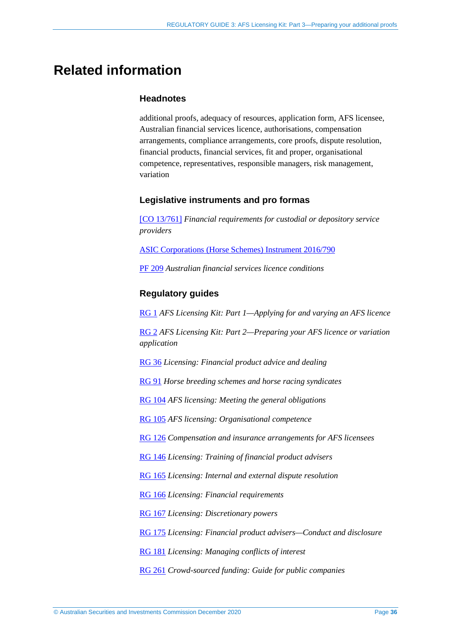# <span id="page-35-0"></span>**Related information**

### **Headnotes**

additional proofs, adequacy of resources, application form, AFS licensee, Australian financial services licence, authorisations, compensation arrangements, compliance arrangements, core proofs, dispute resolution, financial products, financial services, fit and proper, organisational competence, representatives, responsible managers, risk management, variation

#### **Legislative instruments and pro formas**

[\[CO 13/761\]](https://www.legislation.gov.au/Series/F2013L01275) *Financial requirements for custodial or depository service providers*

[ASIC Corporations \(Horse Schemes\) Instrument 2016/790](https://www.legislation.gov.au/Series/F2016L01346)

[PF 209](http://asic.gov.au/for-finance-professionals/afs-licensees/applying-for-and-managing-an-afs-licence/australian-financial-services-licence-conditions-pro-forma-209/) *Australian financial services licence conditions*

### **Regulatory guides**

[RG 1](http://asic.gov.au/regulatory-resources/find-a-document/regulatory-guides/rg-1-afs-licensing-kit-part-1-applying-for-and-varying-an-afs-licence/) *AFS Licensing Kit: Part 1—Applying for and varying an AFS licence*

[RG 2](http://www.asic.gov.au/regulatory-resources/find-a-document/regulatory-guides/rg-2-afs-licensing-kit-part-2-preparing-your-afs-licence-application/) *AFS Licensing Kit: Part 2—Preparing your AFS licence or variation application*

[RG 36](http://www.asic.gov.au/regulatory-resources/find-a-document/regulatory-guides/rg-36-licensing-financial-product-advice-and-dealing/) *Licensing: Financial product advice and dealing*

[RG 91](http://www.asic.gov.au/regulatory-resources/find-a-document/regulatory-guides/rg-91-horse-breeding-schemes-and-horse-racing-syndicates/) *Horse breeding schemes and horse racing syndicates*

[RG 104](https://asic.gov.au/regulatory-resources/find-a-document/regulatory-guides/rg-104-afs-licensing-meeting-the-general-obligations/) *AFS licensing: Meeting the general obligations*

[RG 105](https://asic.gov.au/regulatory-resources/find-a-document/regulatory-guides/rg-105-afs-licensing-organisational-competence/) *AFS licensing: Organisational competence*

[RG 126](http://www.asic.gov.au/regulatory-resources/find-a-document/regulatory-guides/rg-126-compensation-and-insurance-arrangements-for-afs-licensees/) *Compensation and insurance arrangements for AFS licensees*

[RG 146](http://www.asic.gov.au/regulatory-resources/find-a-document/regulatory-guides/rg-146-licensing-training-of-financial-product-advisers/) *Licensing: Training of financial product advisers*

[RG 165](http://www.asic.gov.au/regulatory-resources/find-a-document/regulatory-guides/rg-165-licensing-internal-and-external-dispute-resolution/) *Licensing: Internal and external dispute resolution*

[RG 166](http://www.asic.gov.au/regulatory-resources/find-a-document/regulatory-guides/rg-166-licensing-financial-requirements/) *Licensing: Financial requirements*

[RG 167](http://www.asic.gov.au/regulatory-resources/find-a-document/regulatory-guides/rg-167-licensing-discretionary-powers/) *Licensing: Discretionary powers*

[RG 175](http://www.asic.gov.au/regulatory-resources/find-a-document/regulatory-guides/rg-175-licensing-financial-product-advisers-conduct-and-disclosure/) *Licensing: Financial product advisers—Conduct and disclosure*

[RG 181](http://www.asic.gov.au/regulatory-resources/find-a-document/regulatory-guides/rg-181-licensing-managing-conflicts-of-interest/) *Licensing: Managing conflicts of interest*

[RG 261](https://asic.gov.au/regulatory-resources/find-a-document/regulatory-guides/rg-261-crowd-sourced-funding-guide-for-companies/) *Crowd-sourced funding: Guide for public companies*